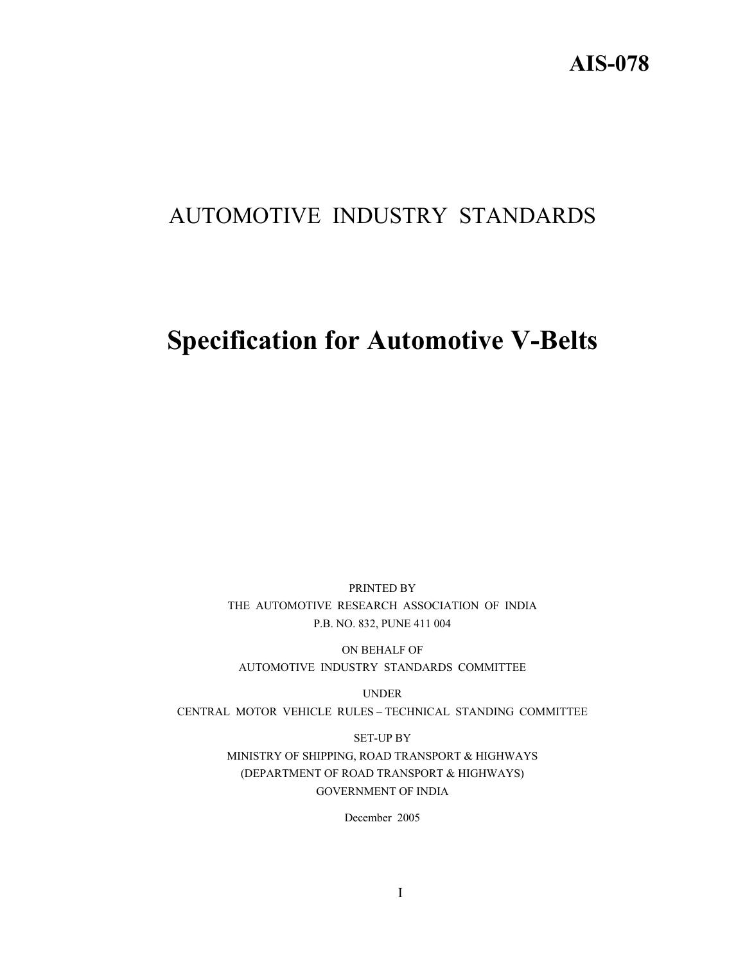## AUTOMOTIVE INDUSTRY STANDARDS

# **Specification for Automotive V-Belts**

PRINTED BY THE AUTOMOTIVE RESEARCH ASSOCIATION OF INDIA P.B. NO. 832, PUNE 411 004

ON BEHALF OF AUTOMOTIVE INDUSTRY STANDARDS COMMITTEE

UNDER

CENTRAL MOTOR VEHICLE RULES – TECHNICAL STANDING COMMITTEE

SET-UP BY MINISTRY OF SHIPPING, ROAD TRANSPORT & HIGHWAYS (DEPARTMENT OF ROAD TRANSPORT & HIGHWAYS) GOVERNMENT OF INDIA

December 2005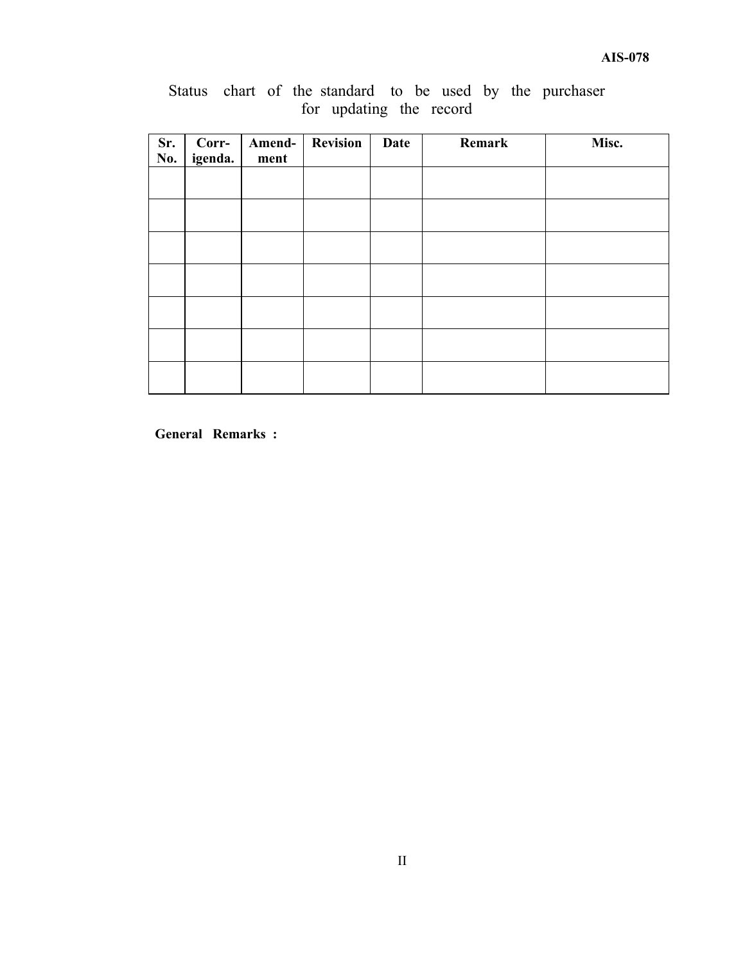|  |  |                         |  |  | Status chart of the standard to be used by the purchaser |
|--|--|-------------------------|--|--|----------------------------------------------------------|
|  |  | for updating the record |  |  |                                                          |

| Sr.<br>No. | Corr-<br>igenda. | Amend-<br>ment | <b>Revision</b> | <b>Date</b> | Remark | Misc. |
|------------|------------------|----------------|-----------------|-------------|--------|-------|
|            |                  |                |                 |             |        |       |
|            |                  |                |                 |             |        |       |
|            |                  |                |                 |             |        |       |
|            |                  |                |                 |             |        |       |
|            |                  |                |                 |             |        |       |
|            |                  |                |                 |             |        |       |
|            |                  |                |                 |             |        |       |

**General Remarks :**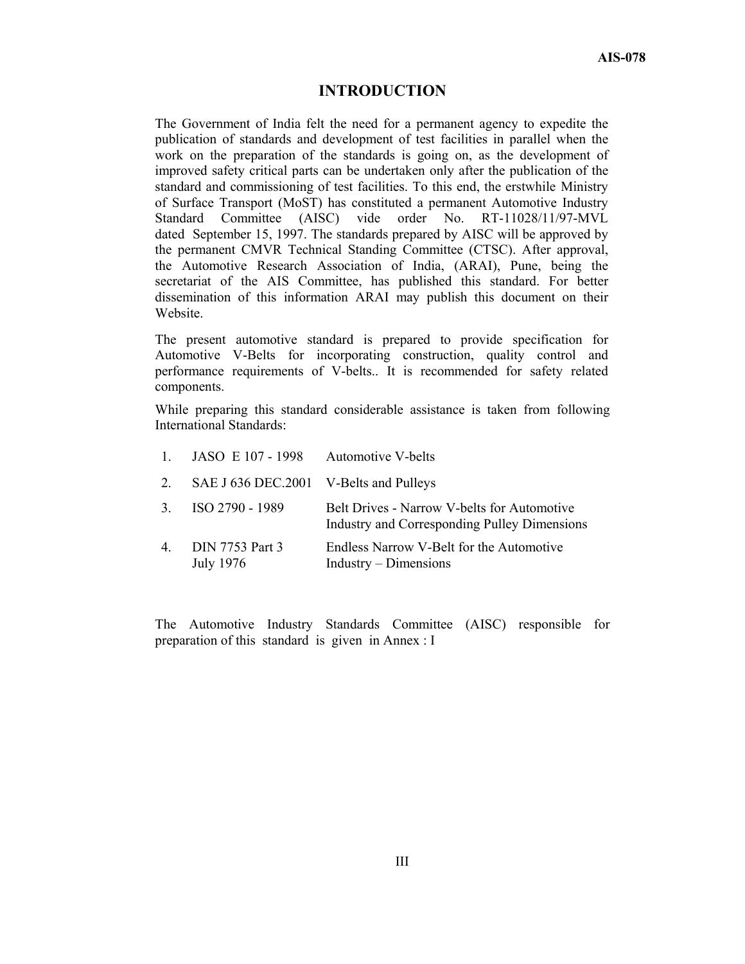## **INTRODUCTION**

The Government of India felt the need for a permanent agency to expedite the publication of standards and development of test facilities in parallel when the work on the preparation of the standards is going on, as the development of improved safety critical parts can be undertaken only after the publication of the standard and commissioning of test facilities. To this end, the erstwhile Ministry of Surface Transport (MoST) has constituted a permanent Automotive Industry Standard Committee (AISC) vide order No. RT-11028/11/97-MVL dated September 15, 1997. The standards prepared by AISC will be approved by the permanent CMVR Technical Standing Committee (CTSC). After approval, the Automotive Research Association of India, (ARAI), Pune, being the secretariat of the AIS Committee, has published this standard. For better dissemination of this information ARAI may publish this document on their Website.

The present automotive standard is prepared to provide specification for Automotive V-Belts for incorporating construction, quality control and performance requirements of V-belts.. It is recommended for safety related components.

While preparing this standard considerable assistance is taken from following International Standards:

|                | 1. JASO E $107 - 1998$                 | <b>Automotive V-belts</b>                                                                   |
|----------------|----------------------------------------|---------------------------------------------------------------------------------------------|
| 2              | SAE J 636 DEC.2001 V-Belts and Pulleys |                                                                                             |
|                | 3. ISO 2790 - 1989                     | Belt Drives - Narrow V-belts for Automotive<br>Industry and Corresponding Pulley Dimensions |
| $\overline{4}$ | DIN 7753 Part 3<br>July 1976           | Endless Narrow V-Belt for the Automotive<br>Industry – Dimensions                           |

The Automotive Industry Standards Committee (AISC) responsible for preparation of this standard is given in Annex : I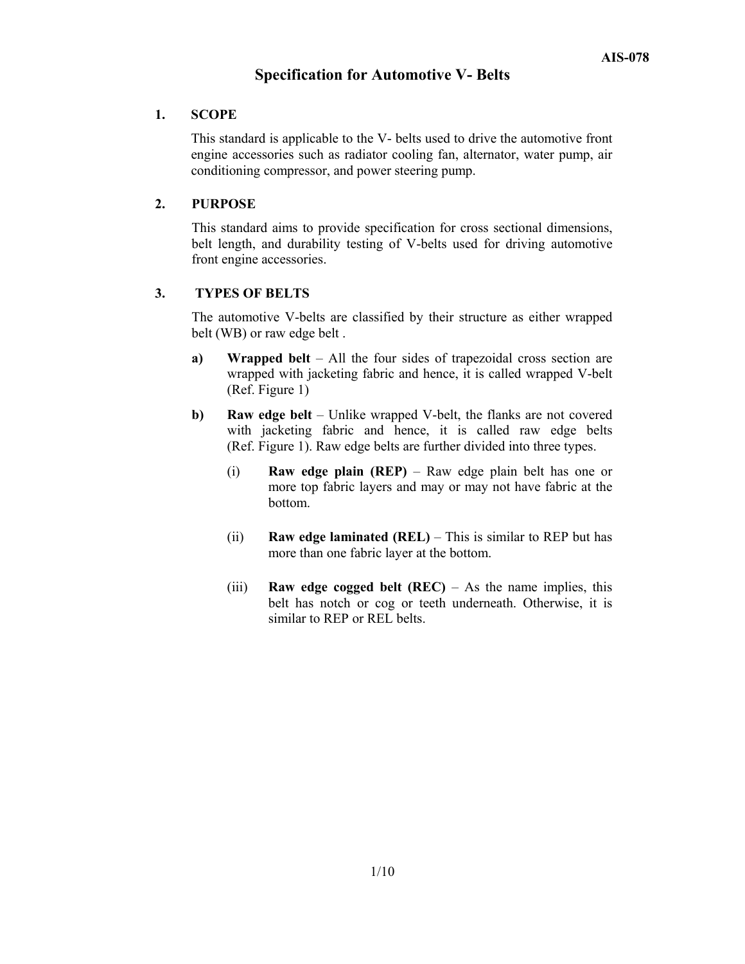## **Specification for Automotive V- Belts**

## **1. SCOPE**

This standard is applicable to the V- belts used to drive the automotive front engine accessories such as radiator cooling fan, alternator, water pump, air conditioning compressor, and power steering pump.

## **2. PURPOSE**

 This standard aims to provide specification for cross sectional dimensions, belt length, and durability testing of V-belts used for driving automotive front engine accessories.

## **3. TYPES OF BELTS**

 The automotive V-belts are classified by their structure as either wrapped belt (WB) or raw edge belt .

- **a) Wrapped belt** All the four sides of trapezoidal cross section are wrapped with jacketing fabric and hence, it is called wrapped V-belt (Ref. Figure 1)
- **b)** Raw edge belt Unlike wrapped V-belt, the flanks are not covered with jacketing fabric and hence, it is called raw edge belts (Ref. Figure 1). Raw edge belts are further divided into three types.
	- (i) **Raw edge plain (REP)** Raw edge plain belt has one or more top fabric layers and may or may not have fabric at the bottom.
	- (ii) **Raw edge laminated (REL)** This is similar to REP but has more than one fabric layer at the bottom.
	- (iii) **Raw edge cogged belt (REC)** As the name implies, this belt has notch or cog or teeth underneath. Otherwise, it is similar to REP or REL belts.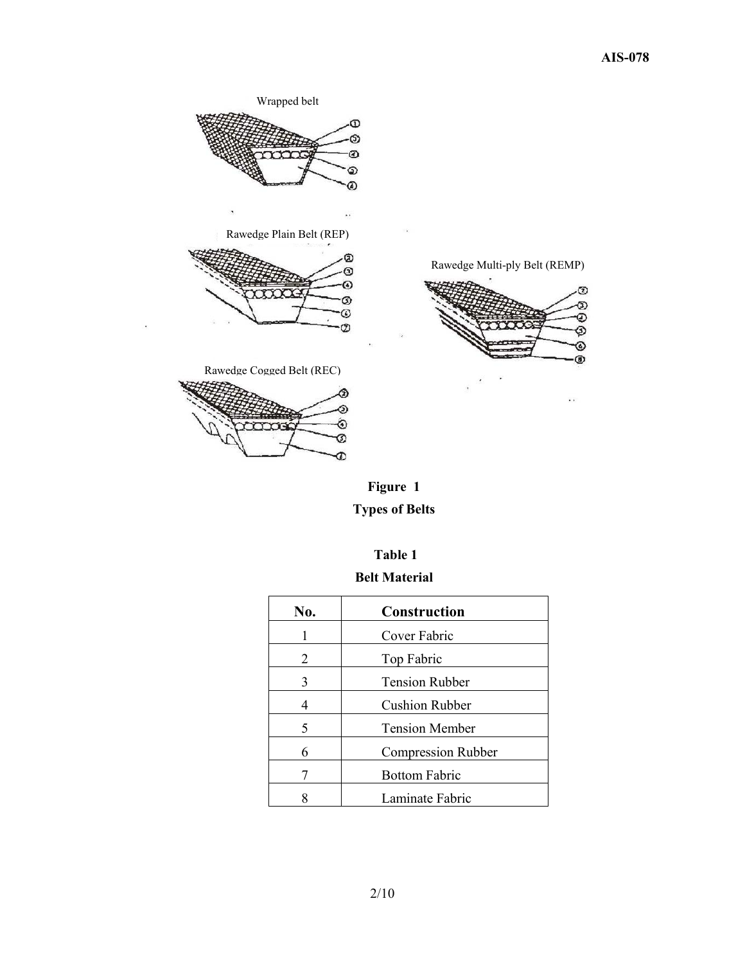



## **Table 1**

## **Belt Material**

| No. | <b>Construction</b>       |
|-----|---------------------------|
|     | Cover Fabric              |
| 2   | Top Fabric                |
| 3   | <b>Tension Rubber</b>     |
|     | <b>Cushion Rubber</b>     |
| 5   | <b>Tension Member</b>     |
| 6   | <b>Compression Rubber</b> |
|     | <b>Bottom Fabric</b>      |
|     | Laminate Fabric           |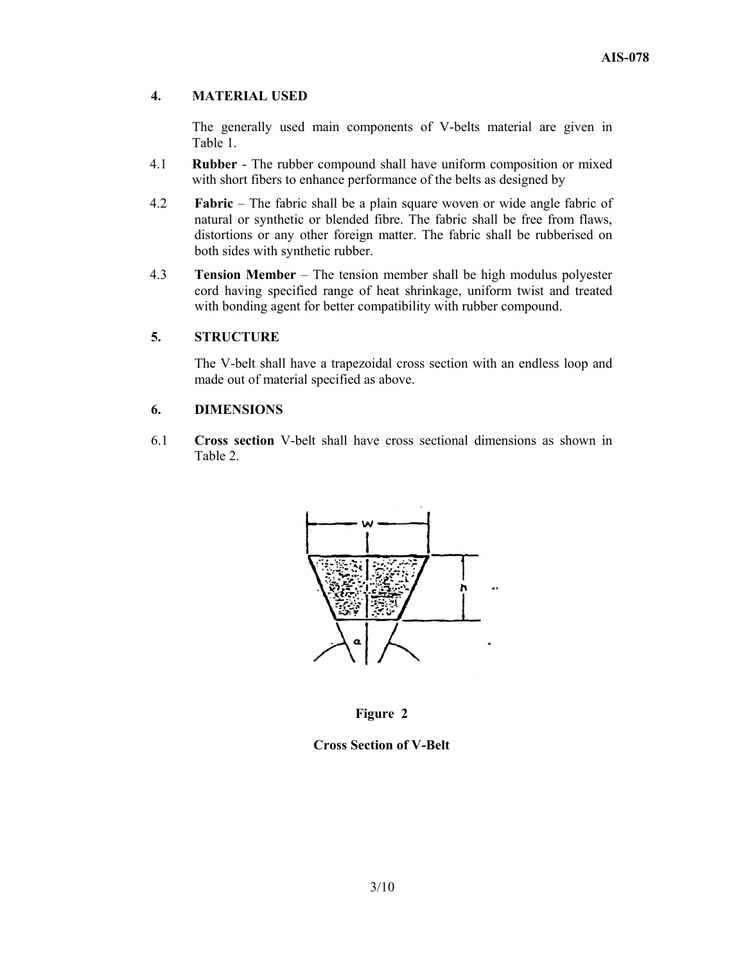## **4. MATERIAL USED**

The generally used main components of V-belts material are given in Table 1.

- 4.1 **Rubber** The rubber compound shall have uniform composition or mixed with short fibers to enhance performance of the belts as designed by
- 4.2 **Fabric** The fabric shall be a plain square woven or wide angle fabric of natural or synthetic or blended fibre. The fabric shall be free from flaws, distortions or any other foreign matter. The fabric shall be rubberised on both sides with synthetic rubber.
- 4.3 **Tension Member**  The tension member shall be high modulus polyester cord having specified range of heat shrinkage, uniform twist and treated with bonding agent for better compatibility with rubber compound.

## **5. STRUCTURE**

The V-belt shall have a trapezoidal cross section with an endless loop and made out of material specified as above.

#### **6. DIMENSIONS**

6.1 **Cross section** V-belt shall have cross sectional dimensions as shown in Table 2.





**Cross Section of V-Belt**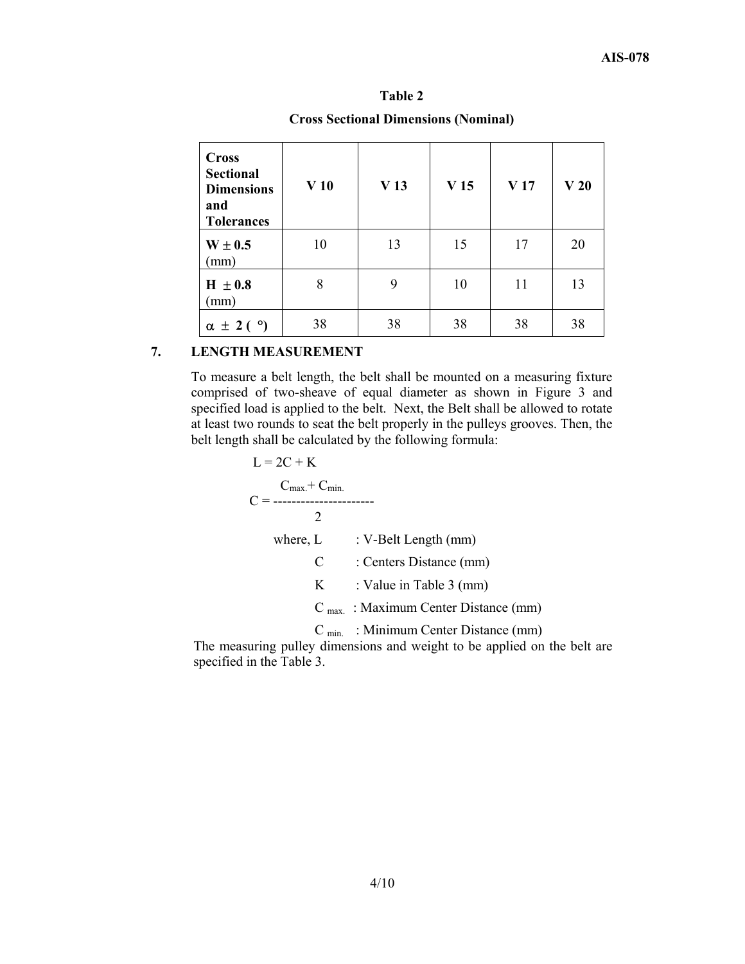| <b>Cross</b><br><b>Sectional</b><br><b>Dimensions</b><br>and<br><b>Tolerances</b> | V <sub>10</sub> | V <sub>13</sub> | V <sub>15</sub> | V <sub>17</sub> | V <sub>20</sub> |
|-----------------------------------------------------------------------------------|-----------------|-----------------|-----------------|-----------------|-----------------|
| $W \pm 0.5$<br>(mm)                                                               | 10              | 13              | 15              | 17              | 20              |
| $H \pm 0.8$<br>(mm)                                                               | 8               | 9               | 10              | 11              | 13              |
| $\alpha \pm 2$ ( $\circ$ )                                                        | 38              | 38              | 38              | 38              | 38              |

# **Table 2**

**Cross Sectional Dimensions (Nominal)** 

## **7. LENGTH MEASUREMENT**

To measure a belt length, the belt shall be mounted on a measuring fixture comprised of two-sheave of equal diameter as shown in Figure 3 and specified load is applied to the belt. Next, the Belt shall be allowed to rotate at least two rounds to seat the belt properly in the pulleys grooves. Then, the belt length shall be calculated by the following formula:

$$
L = 2C + K
$$
  
\n
$$
C =
$$
  
\n
$$
C =
$$
  
\n
$$
2
$$
  
\nwhere, L : V-Belt Length (mm)  
\n
$$
C : \text{Centers Distance (mm)}
$$
  
\n
$$
K : \text{Value in Table 3 (mm)}
$$
  
\n
$$
C_{\text{max.}} : \text{Maximum Center Distance (mm)}
$$
  
\n
$$
C_{\text{min.}} : \text{Minimum Center Distance (mm)}
$$

The measuring pulley dimensions and weight to be applied on the belt are specified in the Table 3.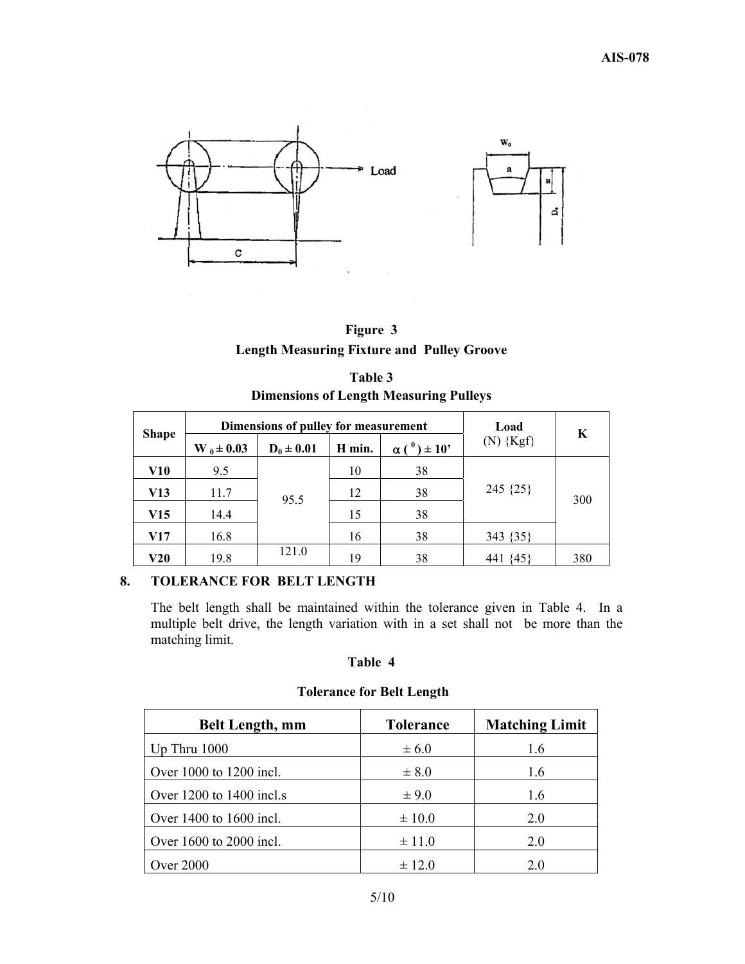

| Figure 3                                          |  |
|---------------------------------------------------|--|
| <b>Length Measuring Fixture and Pulley Groove</b> |  |

| Table 3                                       |  |  |  |  |  |
|-----------------------------------------------|--|--|--|--|--|
| <b>Dimensions of Length Measuring Pulleys</b> |  |  |  |  |  |

|              |                | Dimensions of pulley for measurement |        |                      | Load         | K   |
|--------------|----------------|--------------------------------------|--------|----------------------|--------------|-----|
| <b>Shape</b> | $W_0 \pm 0.03$ | $D_0 \pm 0.01$                       | H min. | $\alpha(^0) \pm 10'$ | $(N)$ {Kgf}  |     |
| V10          | 9.5            |                                      | 10     | 38                   |              |     |
| V13          | 11.7           | 95.5                                 | 12     | 38                   | 245 $\{25\}$ | 300 |
| V15          | 14.4           |                                      | 15     | 38                   |              |     |
| V17          | 16.8           |                                      | 16     | 38                   | 343 {35}     |     |
| <b>V20</b>   | 19.8           | 121.0                                | 19     | 38                   | {45<br>441   | 380 |

## **8. TOLERANCE FOR BELT LENGTH**

 The belt length shall be maintained within the tolerance given in Table 4. In a multiple belt drive, the length variation with in a set shall not be more than the matching limit.

#### **Table 4**

## **Tolerance for Belt Length**

| <b>Belt Length, mm</b>   | <b>Tolerance</b> | <b>Matching Limit</b> |
|--------------------------|------------------|-----------------------|
| Up Thru $1000$           | $\pm 6.0$        | 1.6                   |
| Over 1000 to 1200 incl.  | $\pm 8.0$        | 1.6                   |
| Over 1200 to 1400 incl.s | $\pm$ 9.0        | 1.6                   |
| Over 1400 to 1600 incl.  | $\pm 10.0$       | 2.0                   |
| Over 1600 to 2000 incl.  | $\pm$ 11.0       | 2.0                   |
| <b>Over 2000</b>         | $\pm$ 12.0       | 20                    |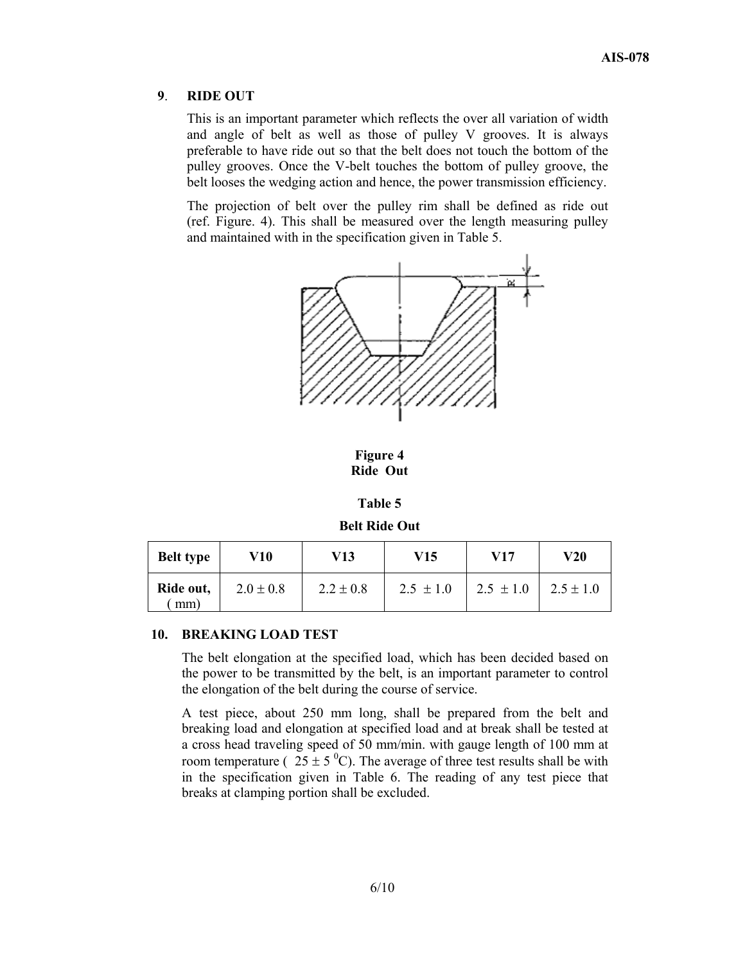#### **9**. **RIDE OUT**

This is an important parameter which reflects the over all variation of width and angle of belt as well as those of pulley V grooves. It is always preferable to have ride out so that the belt does not touch the bottom of the pulley grooves. Once the V-belt touches the bottom of pulley groove, the belt looses the wedging action and hence, the power transmission efficiency.

The projection of belt over the pulley rim shall be defined as ride out (ref. Figure. 4). This shall be measured over the length measuring pulley and maintained with in the specification given in Table 5.



**Figure 4 Ride Out**

| ١<br>0<br>ı<br>H |  |
|------------------|--|
|------------------|--|

**Belt Ride Out** 

| <b>Belt type</b> | V10           | V13           | V15           | V17           | V20           |
|------------------|---------------|---------------|---------------|---------------|---------------|
| Ride out,<br>mm) | $2.0 \pm 0.8$ | $2.2 \pm 0.8$ | $2.5 \pm 1.0$ | $2.5 \pm 1.0$ | $2.5 \pm 1.0$ |

#### **10. BREAKING LOAD TEST**

The belt elongation at the specified load, which has been decided based on the power to be transmitted by the belt, is an important parameter to control the elongation of the belt during the course of service.

A test piece, about 250 mm long, shall be prepared from the belt and breaking load and elongation at specified load and at break shall be tested at a cross head traveling speed of 50 mm/min. with gauge length of 100 mm at room temperature ( $25 \pm 5$ <sup>0</sup>C). The average of three test results shall be with in the specification given in Table 6. The reading of any test piece that breaks at clamping portion shall be excluded.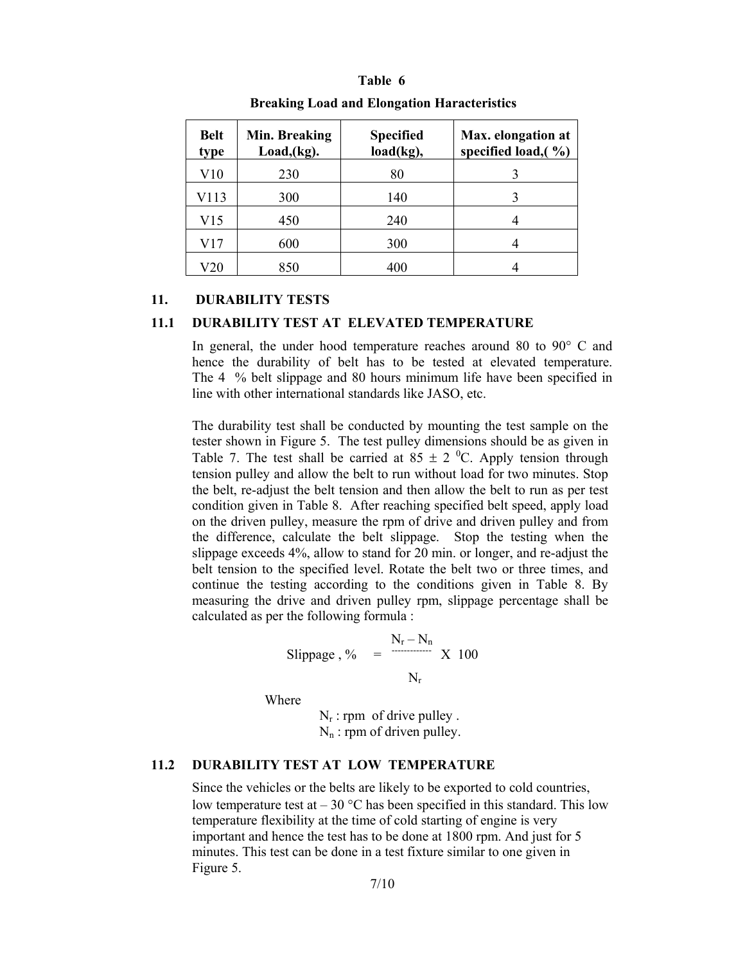#### **Breaking Load and Elongation Haracteristics Belt type Min. Breaking Load,(kg). Specified load(kg), Max. elongation at specified load,( %)**   $V10$  230 80 3 V113 300 140 3 V15 450 240 4 V17 600 300 4

## **Table 6**

## **11. DURABILITY TESTS**

#### **11.1 DURABILITY TEST AT ELEVATED TEMPERATURE**

V20 850 400 4

In general, the under hood temperature reaches around 80 to 90° C and hence the durability of belt has to be tested at elevated temperature. The 4 % belt slippage and 80 hours minimum life have been specified in line with other international standards like JASO, etc.

The durability test shall be conducted by mounting the test sample on the tester shown in Figure 5. The test pulley dimensions should be as given in Table 7. The test shall be carried at  $85 \pm 2$  °C. Apply tension through tension pulley and allow the belt to run without load for two minutes. Stop the belt, re-adjust the belt tension and then allow the belt to run as per test condition given in Table 8. After reaching specified belt speed, apply load on the driven pulley, measure the rpm of drive and driven pulley and from the difference, calculate the belt slippage. Stop the testing when the slippage exceeds 4%, allow to stand for 20 min. or longer, and re-adjust the belt tension to the specified level. Rotate the belt two or three times, and continue the testing according to the conditions given in Table 8. By measuring the drive and driven pulley rpm, slippage percentage shall be calculated as per the following formula :

Slippage, % 
$$
=\frac{N_r - N_n}{N_r}
$$
 X 100

Where

 $N_r$ : rpm of drive pulley.  $N_n$ : rpm of driven pulley.

## **11.2 DURABILITY TEST AT LOW TEMPERATURE**

Since the vehicles or the belts are likely to be exported to cold countries, low temperature test at  $-30$  °C has been specified in this standard. This low temperature flexibility at the time of cold starting of engine is very important and hence the test has to be done at 1800 rpm. And just for 5 minutes. This test can be done in a test fixture similar to one given in Figure 5.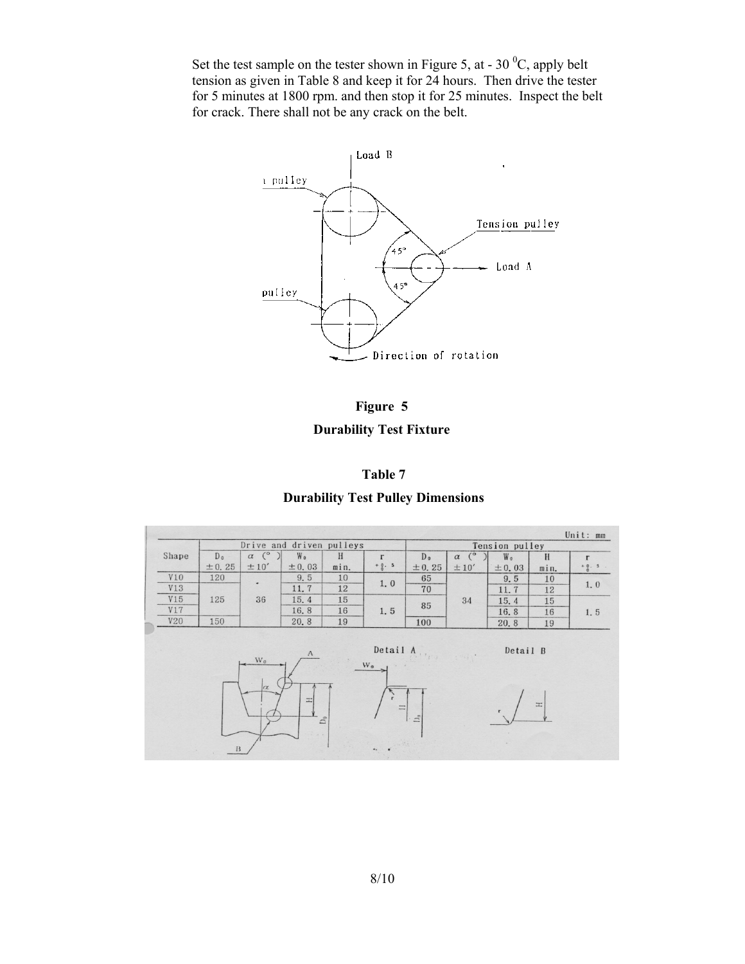Set the test sample on the tester shown in Figure 5, at - 30  $^0C$ , apply belt tension as given in Table 8 and keep it for 24 hours. Then drive the tester for 5 minutes at 1800 rpm. and then stop it for 25 minutes. Inspect the belt for crack. There shall not be any crack on the belt.



**Figure 5 Durability Test Fixture** 



**Durability Test Pulley Dimensions** 

|            |                | Drive and driven pulleys |           |      |              |                |                    | Tension pulley |      | Unit: mm |
|------------|----------------|--------------------------|-----------|------|--------------|----------------|--------------------|----------------|------|----------|
| Shape      | D <sub>o</sub> | $\alpha$ ( $\circ$       | W.        | H    | $\mathbf{r}$ | D <sub>0</sub> | $\alpha$ ( $\circ$ | W.             | H    | $\Gamma$ |
|            | ± 0.25         | ±10'                     | ± 0.03    | min. | $+ 0.5$      | ± 0.25         | ±10'               | ± 0.03         | min. | $+0.5$   |
| <b>V10</b> | 120            | ۰                        | 9.5       | 10   |              | 65             |                    | 9.5            | 10   |          |
| V13        |                |                          | 11.7      | 12   | 1,0          | 70             |                    | 11.7           | 12   | 1.0      |
| V15        | 125            | 36                       | 15.4      | 15   |              |                | 34                 | 15.4           | 15   |          |
| V17        |                |                          | 16.8      | 16   | 1.5          | 85             |                    | 16.8           | 16   | 1.5      |
| <b>V20</b> | 150            |                          | 20.8      | 19   |              | 100            |                    | 20.8           | 19   |          |
|            |                |                          | $\Lambda$ |      | Detail A     |                | $+$ 1984.17        | Detail B       |      |          |
|            |                | $W_0$                    |           |      | $W_0$        |                |                    |                |      |          |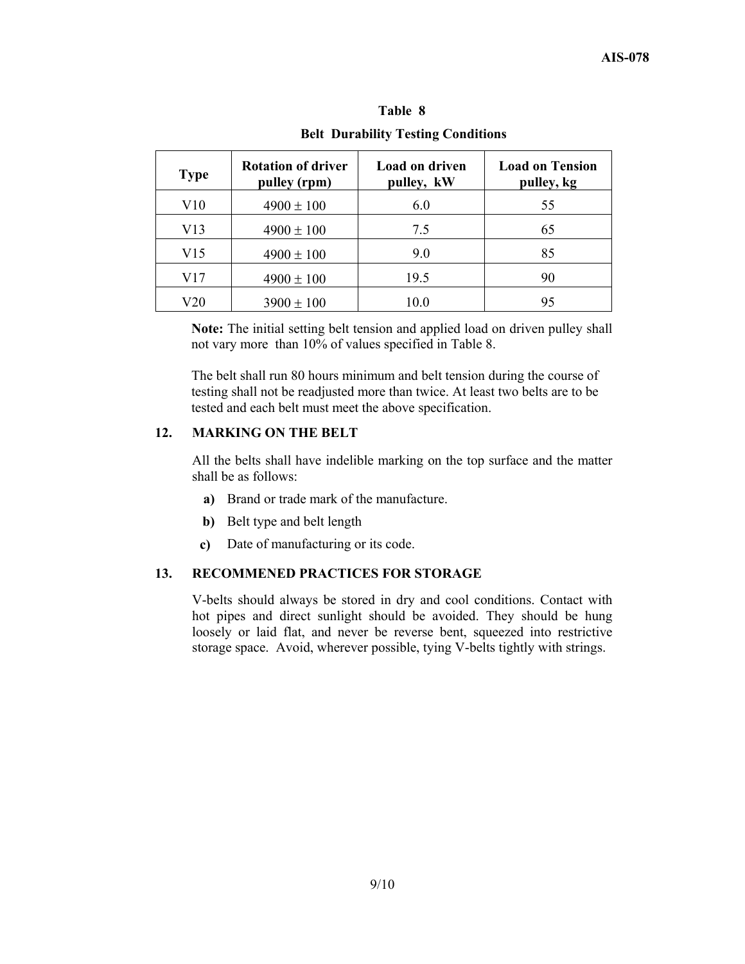| $P_{\text{out}}$ $P_{\text{in}}$ $P_{\text{out}}$ $P_{\text{out}}$ $P_{\text{out}}$ |                                           |                                     |                                      |
|-------------------------------------------------------------------------------------|-------------------------------------------|-------------------------------------|--------------------------------------|
| <b>Type</b>                                                                         | <b>Rotation of driver</b><br>pulley (rpm) | <b>Load on driven</b><br>pulley, kW | <b>Load on Tension</b><br>pulley, kg |
| V10                                                                                 | $4900 \pm 100$                            | 6.0                                 | 55                                   |
| V13                                                                                 | $4900 \pm 100$                            | 7.5                                 | 65                                   |
| V15                                                                                 | $4900 \pm 100$                            | 9.0                                 | 85                                   |
| V17                                                                                 | $4900 \pm 100$                            | 19.5                                | 90                                   |
| V20                                                                                 | $3900 \pm 100$                            | 10.0                                | 95                                   |

**Table 8 Belt Durability Testing Conditions** 

**Note:** The initial setting belt tension and applied load on driven pulley shall not vary more than 10% of values specified in Table 8.

 The belt shall run 80 hours minimum and belt tension during the course of testing shall not be readjusted more than twice. At least two belts are to be tested and each belt must meet the above specification.

#### **12. MARKING ON THE BELT**

 All the belts shall have indelible marking on the top surface and the matter shall be as follows:

- **a)** Brand or trade mark of the manufacture.
- **b**) Belt type and belt length
- **c)** Date of manufacturing or its code.

#### **13. RECOMMENED PRACTICES FOR STORAGE**

 V-belts should always be stored in dry and cool conditions. Contact with hot pipes and direct sunlight should be avoided. They should be hung loosely or laid flat, and never be reverse bent, squeezed into restrictive storage space. Avoid, wherever possible, tying V-belts tightly with strings.